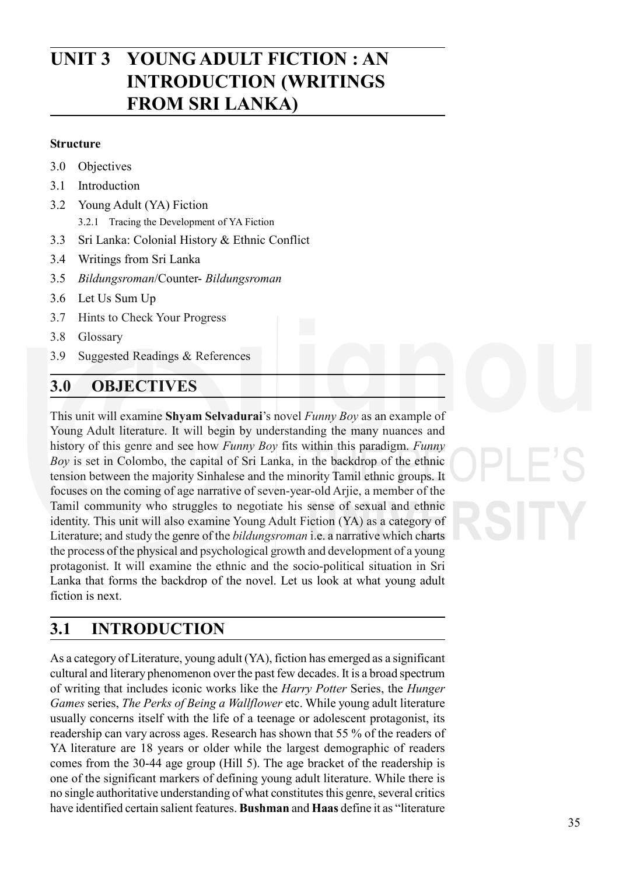# **Lewis Carroll:** *Through the* **UNIT 3 YOUNG ADULT FICTION : AN** *Looking Glass* **INTRODUCTION (WRITINGS FROM SRI LANKA)**

### **Structure**

- 3.0 Objectives
- 3.1 Introduction
- 3.2 Young Adult (YA) Fiction
	- 3.2.1 Tracing the Development of YA Fiction
- 3.3 Sri Lanka: Colonial History & Ethnic Conflict
- 3.4 Writings from Sri Lanka
- 3.5 *Bildungsroman*/Counter- *Bildungsroman*
- 3.6 Let Us Sum Up
- 3.7 Hints to Check Your Progress
- 3.8 Glossary
- 3.9 Suggested Readings & References

# **3.0 OBJECTIVES**

This unit will examine **Shyam Selvadurai**'s novel *Funny Boy* as an example of Young Adult literature. It will begin by understanding the many nuances and history of this genre and see how *Funny Boy* fits within this paradigm. *Funny Boy* is set in Colombo, the capital of Sri Lanka, in the backdrop of the ethnic tension between the majority Sinhalese and the minority Tamil ethnic groups. It focuses on the coming of age narrative of seven-year-old Arjie, a member of the Tamil community who struggles to negotiate his sense of sexual and ethnic identity. This unit will also examine Young Adult Fiction (YA) as a category of Literature; and study the genre of the *bildungsroman* i.e. a narrative which charts the process of the physical and psychological growth and development of a young protagonist. It will examine the ethnic and the socio-political situation in Sri Lanka that forms the backdrop of the novel. Let us look at what young adult fiction is next.

# **3.1 INTRODUCTION**

As a category of Literature, young adult (YA), fiction has emerged as a significant cultural and literary phenomenon over the past few decades. It is a broad spectrum of writing that includes iconic works like the *Harry Potter* Series, the *Hunger Games* series, *The Perks of Being a Wallflower* etc. While young adult literature usually concerns itself with the life of a teenage or adolescent protagonist, its readership can vary across ages. Research has shown that 55 % of the readers of YA literature are 18 years or older while the largest demographic of readers comes from the 30-44 age group (Hill 5). The age bracket of the readership is one of the significant markers of defining young adult literature. While there is no single authoritative understanding of what constitutes this genre, several critics have identified certain salient features. **Bushman** and **Haas** define it as "literature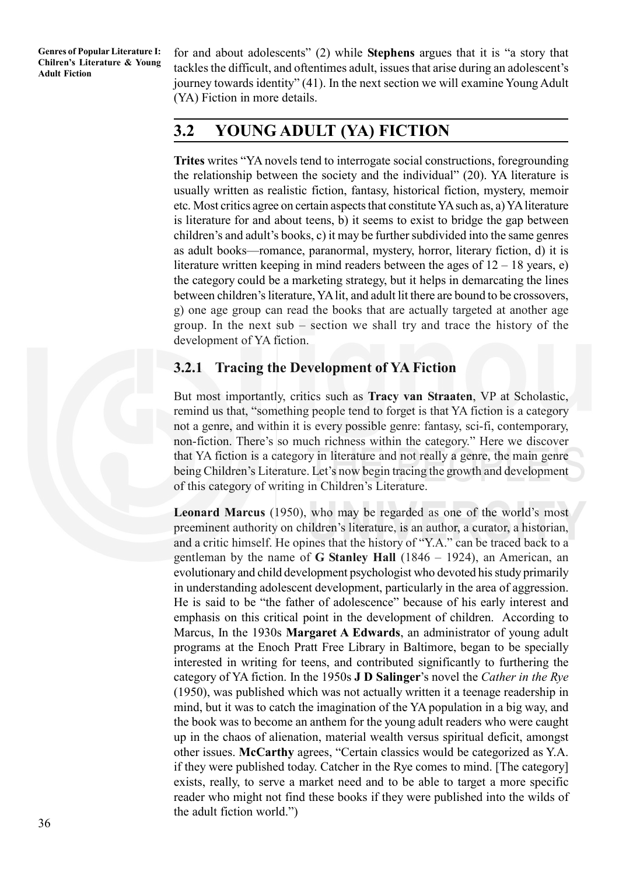for and about adolescents" (2) while **Stephens** argues that it is "a story that tackles the difficult, and oftentimes adult, issues that arise during an adolescent's journey towards identity" (41). In the next section we will examine Young Adult (YA) Fiction in more details.

# **3.2 YOUNG ADULT (YA) FICTION**

**Trites** writes "YA novels tend to interrogate social constructions, foregrounding the relationship between the society and the individual" (20). YA literature is usually written as realistic fiction, fantasy, historical fiction, mystery, memoir etc. Most critics agree on certain aspects that constitute YA such as, a) YA literature is literature for and about teens, b) it seems to exist to bridge the gap between children's and adult's books, c) it may be further subdivided into the same genres as adult books—romance, paranormal, mystery, horror, literary fiction, d) it is literature written keeping in mind readers between the ages of  $12 - 18$  years, e) the category could be a marketing strategy, but it helps in demarcating the lines between children's literature, YA lit, and adult lit there are bound to be crossovers, g) one age group can read the books that are actually targeted at another age group. In the next sub – section we shall try and trace the history of the development of YA fiction.

### **3.2.1 Tracing the Development of YA Fiction**

But most importantly, critics such as **Tracy van Straaten**, VP at Scholastic, remind us that, "something people tend to forget is that YA fiction is a category not a genre, and within it is every possible genre: fantasy, sci-fi, contemporary, non-fiction. There's so much richness within the category." Here we discover that YA fiction is a category in literature and not really a genre, the main genre being Children's Literature. Let's now begin tracing the growth and development of this category of writing in Children's Literature.

**Leonard Marcus** (1950), who may be regarded as one of the world's most preeminent authority on children's literature, is an author, a curator, a historian, and a critic himself. He opines that the history of "Y.A." can be traced back to a gentleman by the name of **G Stanley Hall** (1846 – 1924), an American, an evolutionary and child development psychologist who devoted his study primarily in understanding adolescent development, particularly in the area of aggression. He is said to be "the father of adolescence" because of his early interest and emphasis on this critical point in the development of children. According to Marcus, In the 1930s **Margaret A Edwards**, an administrator of young adult programs at the Enoch Pratt Free Library in Baltimore, began to be specially interested in writing for teens, and contributed significantly to furthering the category of YA fiction. In the 1950s **J D Salinger**'s novel the *Cather in the Rye* (1950), was published which was not actually written it a teenage readership in mind, but it was to catch the imagination of the YA population in a big way, and the book was to become an anthem for the young adult readers who were caught up in the chaos of alienation, material wealth versus spiritual deficit, amongst other issues. **McCarthy** agrees, "Certain classics would be categorized as Y.A. if they were published today. Catcher in the Rye comes to mind. [The category] exists, really, to serve a market need and to be able to target a more specific reader who might not find these books if they were published into the wilds of the adult fiction world.")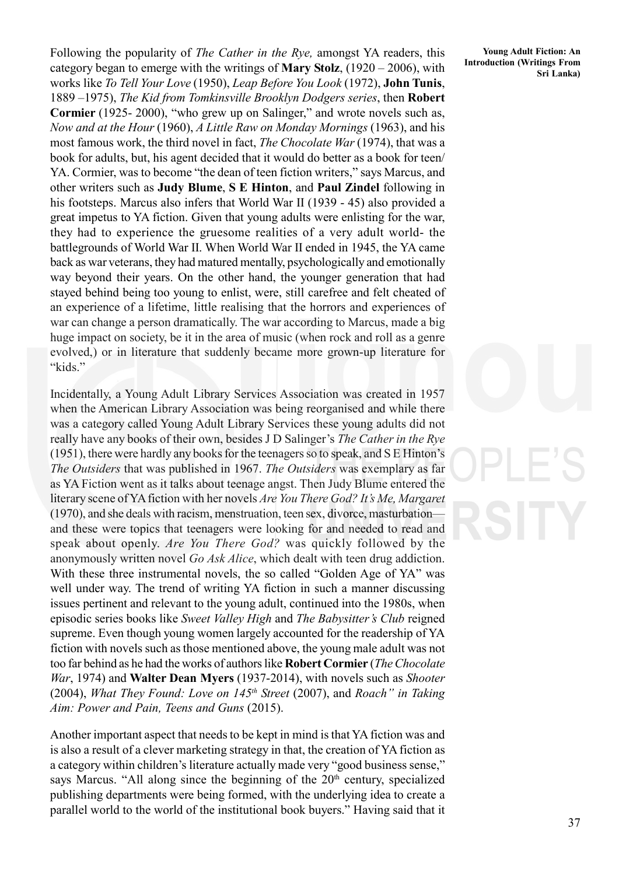Following the popularity of *The Cather in the Rye,* amongst YA readers, this category began to emerge with the writings of **Mary Stolz**, (1920 – 2006), with works like *To Tell Your Love* (1950), *Leap Before You Look* (1972), **John Tunis**, 1889 –1975), *The Kid from Tomkinsville Brooklyn Dodgers series*, then **Robert Cormier** (1925- 2000), "who grew up on Salinger," and wrote novels such as, *Now and at the Hour* (1960), *A Little Raw on Monday Mornings* (1963), and his most famous work, the third novel in fact, *The Chocolate War* (1974), that was a book for adults, but, his agent decided that it would do better as a book for teen/ YA. Cormier, was to become "the dean of teen fiction writers," says Marcus, and other writers such as **Judy Blume**, **S E Hinton**, and **Paul Zindel** following in his footsteps. Marcus also infers that World War II (1939 - 45) also provided a great impetus to YA fiction. Given that young adults were enlisting for the war, they had to experience the gruesome realities of a very adult world- the battlegrounds of World War II. When World War II ended in 1945, the YA came back as war veterans, they had matured mentally, psychologically and emotionally way beyond their years. On the other hand, the younger generation that had stayed behind being too young to enlist, were, still carefree and felt cheated of an experience of a lifetime, little realising that the horrors and experiences of war can change a person dramatically. The war according to Marcus, made a big huge impact on society, be it in the area of music (when rock and roll as a genre evolved,) or in literature that suddenly became more grown-up literature for "kids."

Incidentally, a Young Adult Library Services Association was created in 1957 when the American Library Association was being reorganised and while there was a category called Young Adult Library Services these young adults did not really have any books of their own, besides J D Salinger's *The Cather in the Rye* (1951), there were hardly any books for the teenagers so to speak, and S E Hinton's *The Outsiders* that was published in 1967. *The Outsiders* was exemplary as far as YA Fiction went as it talks about teenage angst. Then Judy Blume entered the literary scene of YA fiction with her novels *Are You There God? It's Me, Margaret* (1970), and she deals with racism, menstruation, teen sex, divorce, masturbation and these were topics that teenagers were looking for and needed to read and speak about openly. *Are You There God?* was quickly followed by the anonymously written novel *Go Ask Alice*, which dealt with teen drug addiction. With these three instrumental novels, the so called "Golden Age of YA" was well under way. The trend of writing YA fiction in such a manner discussing issues pertinent and relevant to the young adult, continued into the 1980s, when episodic series books like *Sweet Valley High* and *The Babysitter's Club* reigned supreme. Even though young women largely accounted for the readership of YA fiction with novels such as those mentioned above, the young male adult was not too far behind as he had the works of authors like **Robert Cormier** (*The Chocolate War*, 1974) and **Walter Dean Myers** (1937-2014), with novels such as *Shooter* (2004), *What They Found: Love on 145th Street* (2007), and *Roach" in Taking Aim: Power and Pain, Teens and Guns* (2015).

Another important aspect that needs to be kept in mind is that YA fiction was and is also a result of a clever marketing strategy in that, the creation of YA fiction as a category within children's literature actually made very "good business sense," says Marcus. "All along since the beginning of the  $20<sup>th</sup>$  century, specialized publishing departments were being formed, with the underlying idea to create a parallel world to the world of the institutional book buyers." Having said that it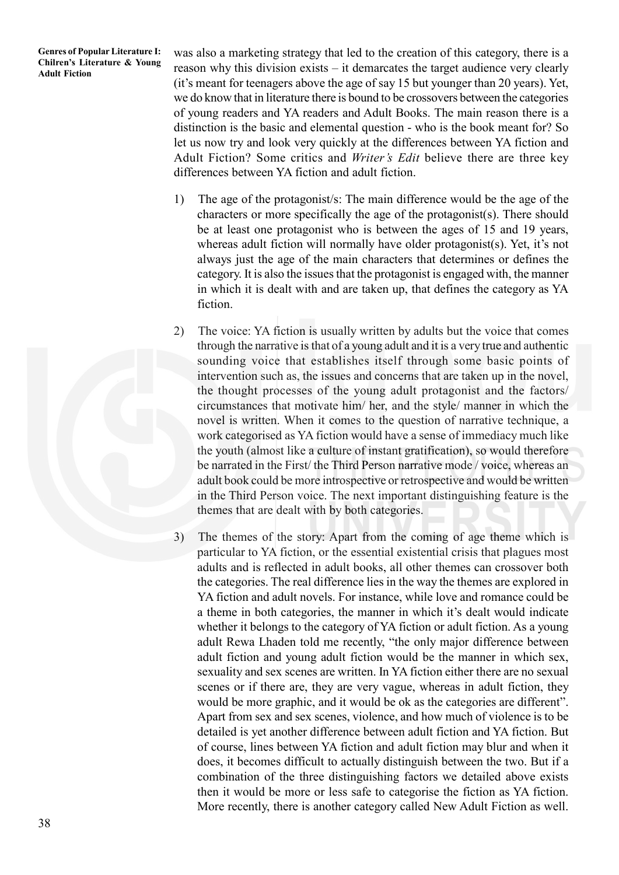was also a marketing strategy that led to the creation of this category, there is a reason why this division exists – it demarcates the target audience very clearly (it's meant for teenagers above the age of say 15 but younger than 20 years). Yet, we do know that in literature there is bound to be crossovers between the categories of young readers and YA readers and Adult Books. The main reason there is a distinction is the basic and elemental question - who is the book meant for? So let us now try and look very quickly at the differences between YA fiction and Adult Fiction? Some critics and *Writer's Edit* believe there are three key differences between YA fiction and adult fiction.

- 1) The age of the protagonist/s: The main difference would be the age of the characters or more specifically the age of the protagonist(s). There should be at least one protagonist who is between the ages of 15 and 19 years, whereas adult fiction will normally have older protagonist(s). Yet, it's not always just the age of the main characters that determines or defines the category. It is also the issues that the protagonist is engaged with, the manner in which it is dealt with and are taken up, that defines the category as YA fiction.
- 2) The voice: YA fiction is usually written by adults but the voice that comes through the narrative is that of a young adult and it is a very true and authentic sounding voice that establishes itself through some basic points of intervention such as, the issues and concerns that are taken up in the novel, the thought processes of the young adult protagonist and the factors/ circumstances that motivate him/ her, and the style/ manner in which the novel is written. When it comes to the question of narrative technique, a work categorised as YA fiction would have a sense of immediacy much like the youth (almost like a culture of instant gratification), so would therefore be narrated in the First/ the Third Person narrative mode / voice, whereas an adult book could be more introspective or retrospective and would be written in the Third Person voice. The next important distinguishing feature is the themes that are dealt with by both categories.
- 3) The themes of the story: Apart from the coming of age theme which is particular to YA fiction, or the essential existential crisis that plagues most adults and is reflected in adult books, all other themes can crossover both the categories. The real difference lies in the way the themes are explored in YA fiction and adult novels. For instance, while love and romance could be a theme in both categories, the manner in which it's dealt would indicate whether it belongs to the category of YA fiction or adult fiction. As a young adult Rewa Lhaden told me recently, "the only major difference between adult fiction and young adult fiction would be the manner in which sex, sexuality and sex scenes are written. In YA fiction either there are no sexual scenes or if there are, they are very vague, whereas in adult fiction, they would be more graphic, and it would be ok as the categories are different". Apart from sex and sex scenes, violence, and how much of violence is to be detailed is yet another difference between adult fiction and YA fiction. But of course, lines between YA fiction and adult fiction may blur and when it does, it becomes difficult to actually distinguish between the two. But if a combination of the three distinguishing factors we detailed above exists then it would be more or less safe to categorise the fiction as YA fiction. More recently, there is another category called New Adult Fiction as well.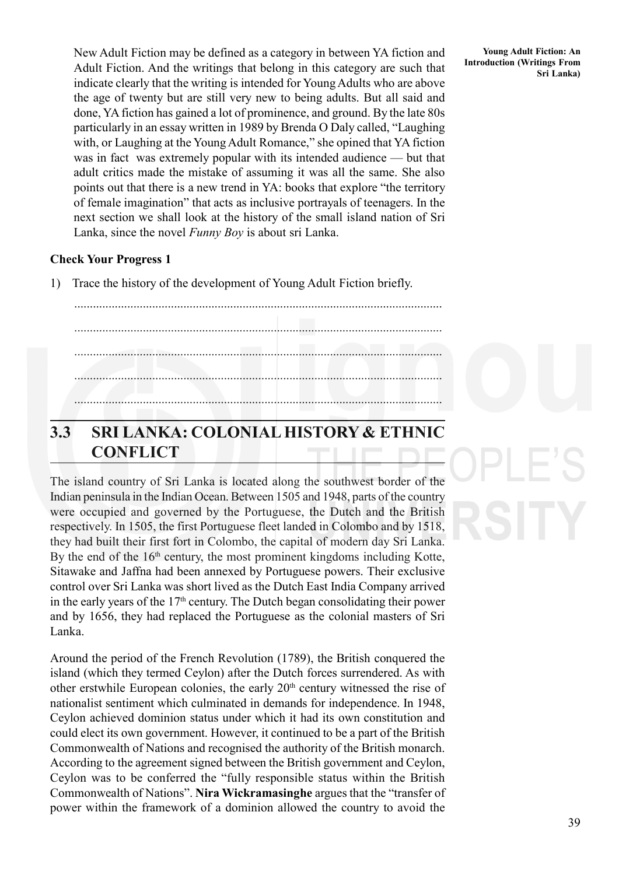New Adult Fiction may be defined as a category in between YA fiction and Adult Fiction. And the writings that belong in this category are such that indicate clearly that the writing is intended for Young Adults who are above the age of twenty but are still very new to being adults. But all said and done, YA fiction has gained a lot of prominence, and ground. By the late 80s particularly in an essay written in 1989 by Brenda O Daly called, "Laughing with, or Laughing at the Young Adult Romance," she opined that YA fiction was in fact was extremely popular with its intended audience — but that adult critics made the mistake of assuming it was all the same. She also points out that there is a new trend in YA: books that explore "the territory of female imagination" that acts as inclusive portrayals of teenagers. In the next section we shall look at the history of the small island nation of Sri Lanka, since the novel *Funny Boy* is about sri Lanka.

### **Check Your Progress 1**

1) Trace the history of the development of Young Adult Fiction briefly.

...................................................................................................................... ...................................................................................................................... ...................................................................................................................... ...................................................................................................................... ......................................................................................................................

# **3.3 SRI LANKA: COLONIAL HISTORY & ETHNIC CONFLICT**

The island country of Sri Lanka is located along the southwest border of the Indian peninsula in the Indian Ocean. Between 1505 and 1948, parts of the country were occupied and governed by the Portuguese, the Dutch and the British respectively. In 1505, the first Portuguese fleet landed in Colombo and by 1518, they had built their first fort in Colombo, the capital of modern day Sri Lanka. By the end of the  $16<sup>th</sup>$  century, the most prominent kingdoms including Kotte, Sitawake and Jaffna had been annexed by Portuguese powers. Their exclusive control over Sri Lanka was short lived as the Dutch East India Company arrived in the early years of the  $17<sup>th</sup>$  century. The Dutch began consolidating their power and by 1656, they had replaced the Portuguese as the colonial masters of Sri Lanka.

Around the period of the French Revolution (1789), the British conquered the island (which they termed Ceylon) after the Dutch forces surrendered. As with other erstwhile European colonies, the early  $20<sup>th</sup>$  century witnessed the rise of nationalist sentiment which culminated in demands for independence. In 1948, Ceylon achieved dominion status under which it had its own constitution and could elect its own government. However, it continued to be a part of the British Commonwealth of Nations and recognised the authority of the British monarch. According to the agreement signed between the British government and Ceylon, Ceylon was to be conferred the "fully responsible status within the British Commonwealth of Nations". **Nira Wickramasinghe** argues that the "transfer of power within the framework of a dominion allowed the country to avoid the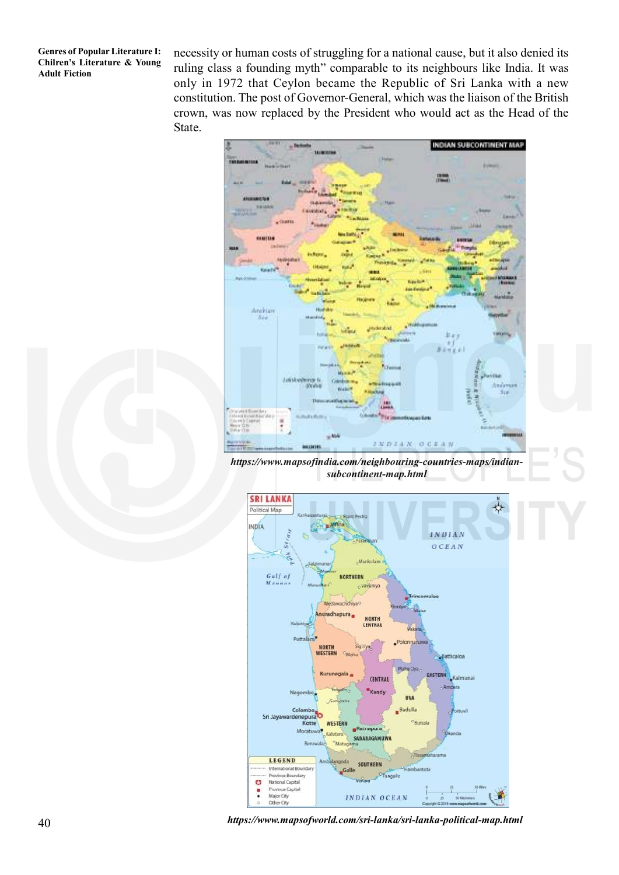necessity or human costs of struggling for a national cause, but it also denied its ruling class a founding myth" comparable to its neighbours like India. It was only in 1972 that Ceylon became the Republic of Sri Lanka with a new constitution. The post of Governor-General, which was the liaison of the British crown, was now replaced by the President who would act as the Head of the State.



*https://www.mapsofindia.com/neighbouring-countries-maps/indiansubcontinent-map.html*



*https://www.mapsofworld.com/sri-lanka/sri-lanka-political-map.html*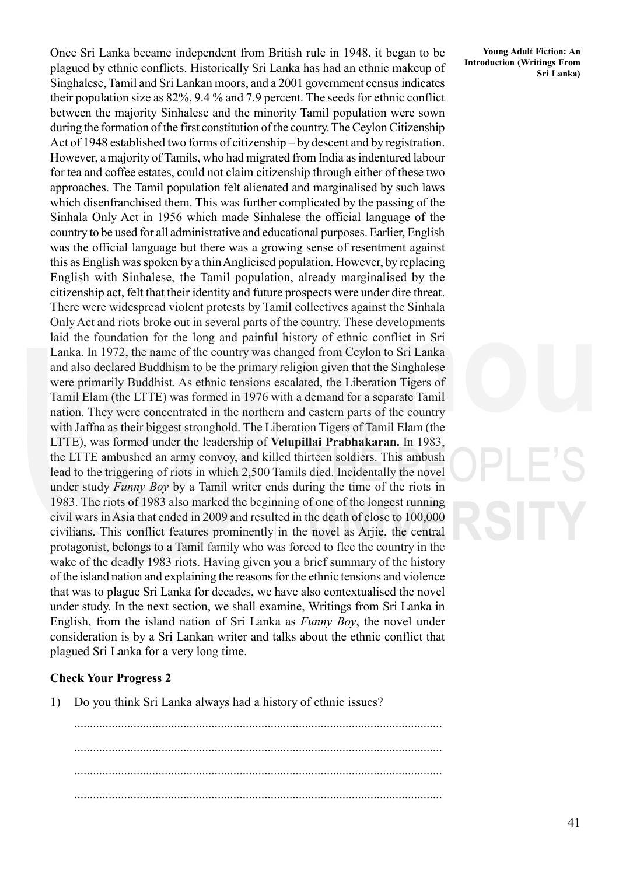Once Sri Lanka became independent from British rule in 1948, it began to be plagued by ethnic conflicts. Historically Sri Lanka has had an ethnic makeup of Singhalese, Tamil and Sri Lankan moors, and a 2001 government census indicates their population size as 82%, 9.4 % and 7.9 percent. The seeds for ethnic conflict between the majority Sinhalese and the minority Tamil population were sown during the formation of the first constitution of the country. The Ceylon Citizenship Act of 1948 established two forms of citizenship – by descent and by registration. However, a majority of Tamils, who had migrated from India as indentured labour for tea and coffee estates, could not claim citizenship through either of these two approaches. The Tamil population felt alienated and marginalised by such laws which disenfranchised them. This was further complicated by the passing of the Sinhala Only Act in 1956 which made Sinhalese the official language of the country to be used for all administrative and educational purposes. Earlier, English was the official language but there was a growing sense of resentment against this as English was spoken by a thin Anglicised population. However, by replacing English with Sinhalese, the Tamil population, already marginalised by the citizenship act, felt that their identity and future prospects were under dire threat. There were widespread violent protests by Tamil collectives against the Sinhala Only Act and riots broke out in several parts of the country. These developments laid the foundation for the long and painful history of ethnic conflict in Sri Lanka. In 1972, the name of the country was changed from Ceylon to Sri Lanka and also declared Buddhism to be the primary religion given that the Singhalese were primarily Buddhist. As ethnic tensions escalated, the Liberation Tigers of Tamil Elam (the LTTE) was formed in 1976 with a demand for a separate Tamil nation. They were concentrated in the northern and eastern parts of the country with Jaffna as their biggest stronghold. The Liberation Tigers of Tamil Elam (the LTTE), was formed under the leadership of **Velupillai Prabhakaran.** In 1983, the LTTE ambushed an army convoy, and killed thirteen soldiers. This ambush lead to the triggering of riots in which 2,500 Tamils died. Incidentally the novel under study *Funny Boy* by a Tamil writer ends during the time of the riots in 1983. The riots of 1983 also marked the beginning of one of the longest running civil wars in Asia that ended in 2009 and resulted in the death of close to 100,000 civilians. This conflict features prominently in the novel as Arjie, the central protagonist, belongs to a Tamil family who was forced to flee the country in the wake of the deadly 1983 riots. Having given you a brief summary of the history of the island nation and explaining the reasons for the ethnic tensions and violence that was to plague Sri Lanka for decades, we have also contextualised the novel under study. In the next section, we shall examine, Writings from Sri Lanka in English, from the island nation of Sri Lanka as *Funny Boy*, the novel under consideration is by a Sri Lankan writer and talks about the ethnic conflict that plagued Sri Lanka for a very long time.

### **Check Your Progress 2**

1) Do you think Sri Lanka always had a history of ethnic issues?

...................................................................................................................... ...................................................................................................................... ...................................................................................................................... ......................................................................................................................

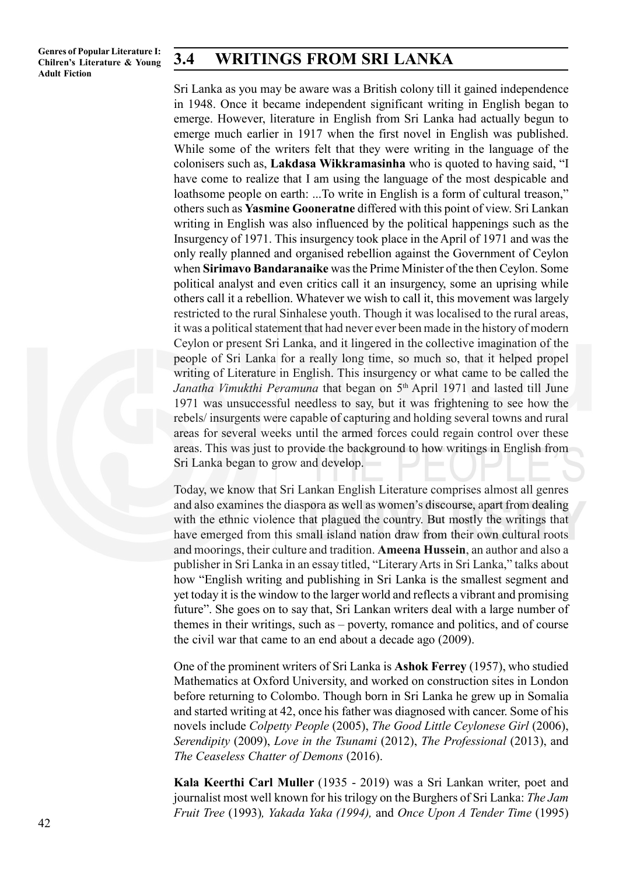### **3.4 WRITINGS FROM SRI LANKA**

Sri Lanka as you may be aware was a British colony till it gained independence in 1948. Once it became independent significant writing in English began to emerge. However, literature in English from Sri Lanka had actually begun to emerge much earlier in 1917 when the first novel in English was published. While some of the writers felt that they were writing in the language of the colonisers such as, **Lakdasa Wikkramasinha** who is quoted to having said, "I have come to realize that I am using the language of the most despicable and loathsome people on earth: ...To write in English is a form of cultural treason," others such as **Yasmine Gooneratne** differed with this point of view. Sri Lankan writing in English was also influenced by the political happenings such as the Insurgency of 1971. This insurgency took place in the April of 1971 and was the only really planned and organised rebellion against the Government of Ceylon when **Sirimavo Bandaranaike** was the Prime Minister of the then Ceylon. Some political analyst and even critics call it an insurgency, some an uprising while others call it a rebellion. Whatever we wish to call it, this movement was largely restricted to the rural Sinhalese youth. Though it was localised to the rural areas, it was a political statement that had never ever been made in the history of modern Ceylon or present Sri Lanka, and it lingered in the collective imagination of the people of Sri Lanka for a really long time, so much so, that it helped propel writing of Literature in English. This insurgency or what came to be called the *Janatha Vimukthi Peramuna* that began on 5th April 1971 and lasted till June 1971 was unsuccessful needless to say, but it was frightening to see how the rebels/ insurgents were capable of capturing and holding several towns and rural areas for several weeks until the armed forces could regain control over these areas. This was just to provide the background to how writings in English from Sri Lanka began to grow and develop.

Today, we know that Sri Lankan English Literature comprises almost all genres and also examines the diaspora as well as women's discourse, apart from dealing with the ethnic violence that plagued the country. But mostly the writings that have emerged from this small island nation draw from their own cultural roots and moorings, their culture and tradition. **Ameena Hussein**, an author and also a publisher in Sri Lanka in an essay titled, "Literary Arts in Sri Lanka," talks about how "English writing and publishing in Sri Lanka is the smallest segment and yet today it is the window to the larger world and reflects a vibrant and promising future". She goes on to say that, Sri Lankan writers deal with a large number of themes in their writings, such as – poverty, romance and politics, and of course the civil war that came to an end about a decade ago (2009).

One of the prominent writers of Sri Lanka is **Ashok Ferrey** (1957), who studied Mathematics at Oxford University, and worked on construction sites in London before returning to Colombo. Though born in Sri Lanka he grew up in Somalia and started writing at 42, once his father was diagnosed with cancer. Some of his novels include *Colpetty People* (2005), *The Good Little Ceylonese Girl* (2006), *Serendipity* (2009), *Love in the Tsunami* (2012), *The Professional* (2013), and *The Ceaseless Chatter of Demons* (2016).

**Kala Keerthi Carl Muller** (1935 - 2019) was a Sri Lankan writer, poet and journalist most well known for his trilogy on the Burghers of Sri Lanka: *The Jam Fruit Tree* (1993)*, Yakada Yaka (1994),* and *Once Upon A Tender Time* (1995)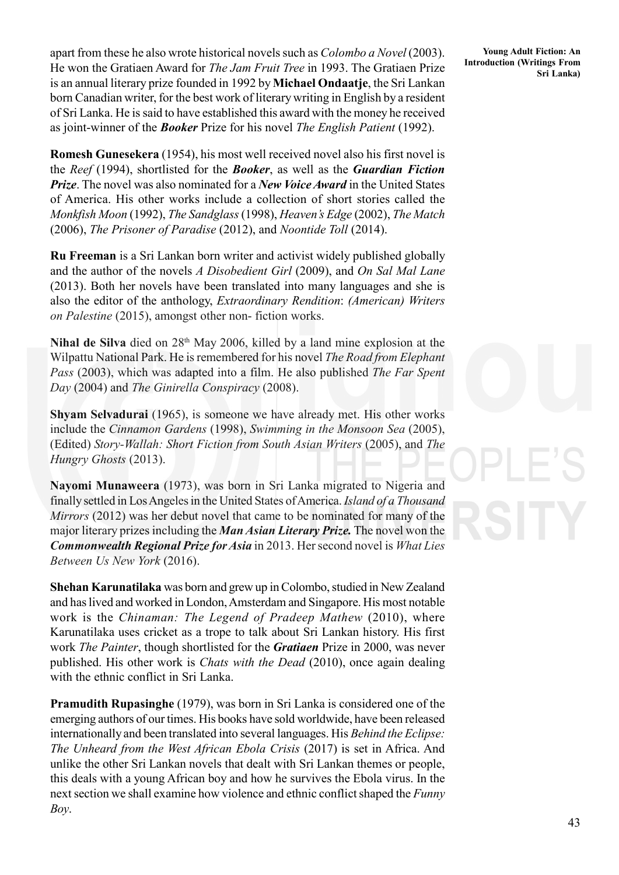apart from these he also wrote historical novels such as *Colombo a Novel* (2003). He won the Gratiaen Award for *The Jam Fruit Tree* in 1993. The Gratiaen Prize is an annual literary prize founded in 1992 by **Michael Ondaatje**, the Sri Lankan born Canadian writer, for the best work of literary writing in English by a resident of Sri Lanka. He is said to have established this award with the money he received as joint-winner of the *Booker* Prize for his novel *The English Patient* (1992).

**Romesh Gunesekera** (1954), his most well received novel also his first novel is the *Reef* (1994), shortlisted for the *Booker*, as well as the *Guardian Fiction Prize*. The novel was also nominated for a *New Voice Award* in the United States of America. His other works include a collection of short stories called the *Monkfish Moon* (1992), *The Sandglass* (1998), *Heaven's Edge* (2002), *The Match* (2006), *The Prisoner of Paradise* (2012), and *Noontide Toll* (2014).

**Ru Freeman** is a Sri Lankan born writer and activist widely published globally and the author of the novels *A Disobedient Girl* (2009), and *On Sal Mal Lane* (2013). Both her novels have been translated into many languages and she is also the editor of the anthology, *Extraordinary Rendition*: *(American) Writers on Palestine* (2015), amongst other non- fiction works.

Nihal de Silva died on 28<sup>th</sup> May 2006, killed by a land mine explosion at the Wilpattu National Park. He is remembered for his novel *The Road from Elephant Pass* (2003), which was adapted into a film. He also published *The Far Spent Day* (2004) and *The Ginirella Conspiracy* (2008).

**Shyam Selvadurai** (1965), is someone we have already met. His other works include the *Cinnamon Gardens* (1998), *Swimming in the Monsoon Sea* (2005), (Edited) *Story-Wallah: Short Fiction from South Asian Writers* (2005), and *The Hungry Ghosts* (2013).

**Nayomi Munaweera** (1973), was born in Sri Lanka migrated to Nigeria and finally settled in Los Angeles in the United States of America. *Island of a Thousand Mirrors* (2012) was her debut novel that came to be nominated for many of the major literary prizes including the *Man Asian Literary Prize.* The novel won the *Commonwealth Regional Prize for Asia* in 2013. Her second novel is *What Lies Between Us New York* (2016).

**Shehan Karunatilaka** was born and grew up in Colombo, studied in New Zealand and has lived and worked in London, Amsterdam and Singapore. His most notable work is the *Chinaman: The Legend of Pradeep Mathew* (2010), where Karunatilaka uses cricket as a trope to talk about Sri Lankan history. His first work *The Painter*, though shortlisted for the *Gratiaen* Prize in 2000, was never published. His other work is *Chats with the Dead* (2010), once again dealing with the ethnic conflict in Sri Lanka.

**Pramudith Rupasinghe** (1979), was born in Sri Lanka is considered one of the emerging authors of our times. His books have sold worldwide, have been released internationally and been translated into several languages. His *Behind the Eclipse: The Unheard from the West African Ebola Crisis* (2017) is set in Africa. And unlike the other Sri Lankan novels that dealt with Sri Lankan themes or people, this deals with a young African boy and how he survives the Ebola virus. In the next section we shall examine how violence and ethnic conflict shaped the *Funny Boy*.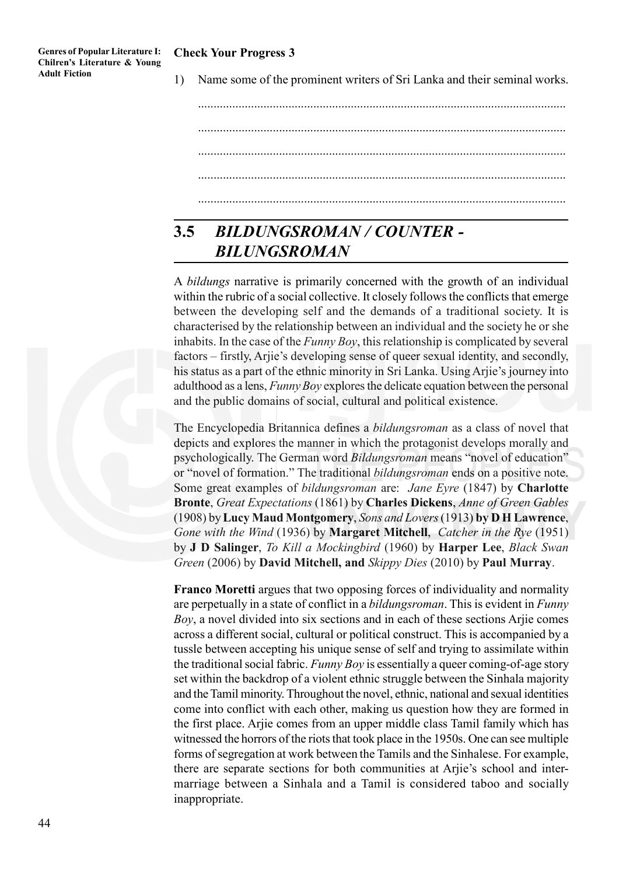### **Check Your Progress 3**

1) Name some of the prominent writers of Sri Lanka and their seminal works.

...................................................................................................................... ...................................................................................................................... ...................................................................................................................... ...................................................................................................................... ......................................................................................................................

# **3.5** *BILDUNGSROMAN / COUNTER - BILUNGSROMAN*

A *bildungs* narrative is primarily concerned with the growth of an individual within the rubric of a social collective. It closely follows the conflicts that emerge between the developing self and the demands of a traditional society. It is characterised by the relationship between an individual and the society he or she inhabits. In the case of the *Funny Boy*, this relationship is complicated by several factors – firstly, Arjie's developing sense of queer sexual identity, and secondly, his status as a part of the ethnic minority in Sri Lanka. Using Arjie's journey into adulthood as a lens, *Funny Boy* explores the delicate equation between the personal and the public domains of social, cultural and political existence.

The Encyclopedia Britannica defines a *bildungsroman* as a class of novel that depicts and explores the manner in which the protagonist develops morally and psychologically. The German word *Bildungsroman* means "novel of education" or "novel of formation." The traditional *bildungsroman* ends on a positive note. Some great examples of *bildungsroman* are: *Jane Eyre* (1847) by **Charlotte Bronte**, *Great Expectations* (1861) by **Charles Dickens**, *Anne of Green Gables* (1908) by **Lucy Maud Montgomery**, *Sons and Lovers* (1913) **by D H Lawrence**, *Gone with the Wind* (1936) by **Margaret Mitchell**, *Catcher in the Rye* (1951) by **J D Salinger**, *To Kill a Mockingbird* (1960) by **Harper Lee**, *Black Swan Green* (2006) by **David Mitchell, and** *Skippy Dies* (2010) by **Paul Murray**.

**Franco Moretti** argues that two opposing forces of individuality and normality are perpetually in a state of conflict in a *bildungsroman*. This is evident in *Funny Boy*, a novel divided into six sections and in each of these sections Arjie comes across a different social, cultural or political construct. This is accompanied by a tussle between accepting his unique sense of self and trying to assimilate within the traditional social fabric. *Funny Boy* is essentially a queer coming-of-age story set within the backdrop of a violent ethnic struggle between the Sinhala majority and the Tamil minority. Throughout the novel, ethnic, national and sexual identities come into conflict with each other, making us question how they are formed in the first place. Arjie comes from an upper middle class Tamil family which has witnessed the horrors of the riots that took place in the 1950s. One can see multiple forms of segregation at work between the Tamils and the Sinhalese. For example, there are separate sections for both communities at Arjie's school and intermarriage between a Sinhala and a Tamil is considered taboo and socially inappropriate.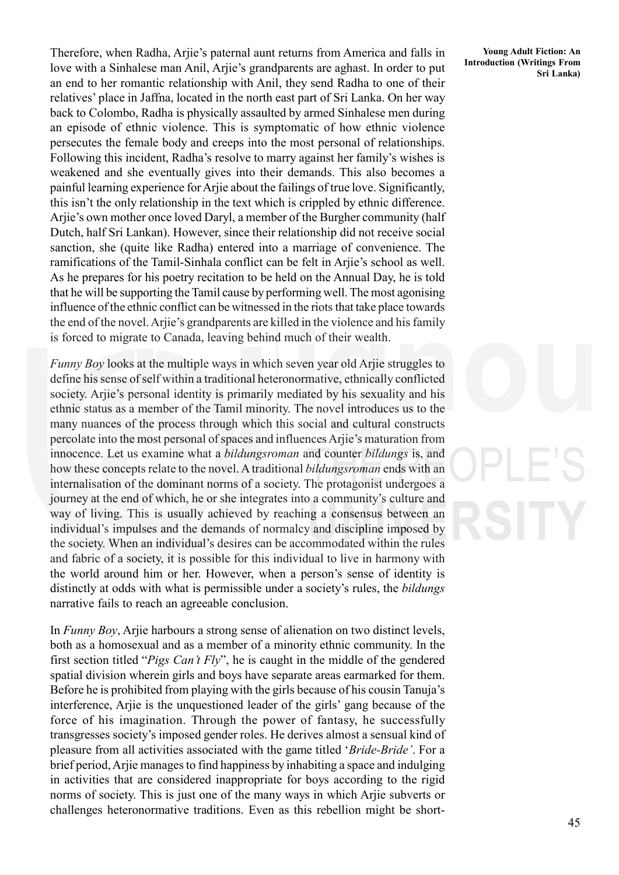Therefore, when Radha, Arjie's paternal aunt returns from America and falls in love with a Sinhalese man Anil, Arjie's grandparents are aghast. In order to put an end to her romantic relationship with Anil, they send Radha to one of their relatives' place in Jaffna, located in the north east part of Sri Lanka. On her way back to Colombo, Radha is physically assaulted by armed Sinhalese men during an episode of ethnic violence. This is symptomatic of how ethnic violence persecutes the female body and creeps into the most personal of relationships. Following this incident, Radha's resolve to marry against her family's wishes is weakened and she eventually gives into their demands. This also becomes a painful learning experience for Arjie about the failings of true love. Significantly, this isn't the only relationship in the text which is crippled by ethnic difference. Arjie's own mother once loved Daryl, a member of the Burgher community (half Dutch, half Sri Lankan). However, since their relationship did not receive social sanction, she (quite like Radha) entered into a marriage of convenience. The ramifications of the Tamil-Sinhala conflict can be felt in Arjie's school as well. As he prepares for his poetry recitation to be held on the Annual Day, he is told that he will be supporting the Tamil cause by performing well. The most agonising influence of the ethnic conflict can be witnessed in the riots that take place towards the end of the novel. Arjie's grandparents are killed in the violence and his family is forced to migrate to Canada, leaving behind much of their wealth.

*Funny Boy* looks at the multiple ways in which seven year old Arjie struggles to define his sense of self within a traditional heteronormative, ethnically conflicted society. Arjie's personal identity is primarily mediated by his sexuality and his ethnic status as a member of the Tamil minority. The novel introduces us to the many nuances of the process through which this social and cultural constructs percolate into the most personal of spaces and influences Arjie's maturation from innocence. Let us examine what a *bildungsroman* and counter *bildungs* is, and how these concepts relate to the novel. A traditional *bildungsroman* ends with an internalisation of the dominant norms of a society. The protagonist undergoes a journey at the end of which, he or she integrates into a community's culture and way of living. This is usually achieved by reaching a consensus between an individual's impulses and the demands of normalcy and discipline imposed by the society. When an individual's desires can be accommodated within the rules and fabric of a society, it is possible for this individual to live in harmony with the world around him or her. However, when a person's sense of identity is distinctly at odds with what is permissible under a society's rules, the *bildungs* narrative fails to reach an agreeable conclusion.

In *Funny Boy*, Arjie harbours a strong sense of alienation on two distinct levels, both as a homosexual and as a member of a minority ethnic community. In the first section titled "*Pigs Can't Fly*", he is caught in the middle of the gendered spatial division wherein girls and boys have separate areas earmarked for them. Before he is prohibited from playing with the girls because of his cousin Tanuja's interference, Arjie is the unquestioned leader of the girls' gang because of the force of his imagination. Through the power of fantasy, he successfully transgresses society's imposed gender roles. He derives almost a sensual kind of pleasure from all activities associated with the game titled '*Bride-Bride'*. For a brief period, Arjie manages to find happiness by inhabiting a space and indulging in activities that are considered inappropriate for boys according to the rigid norms of society. This is just one of the many ways in which Arjie subverts or challenges heteronormative traditions. Even as this rebellion might be short-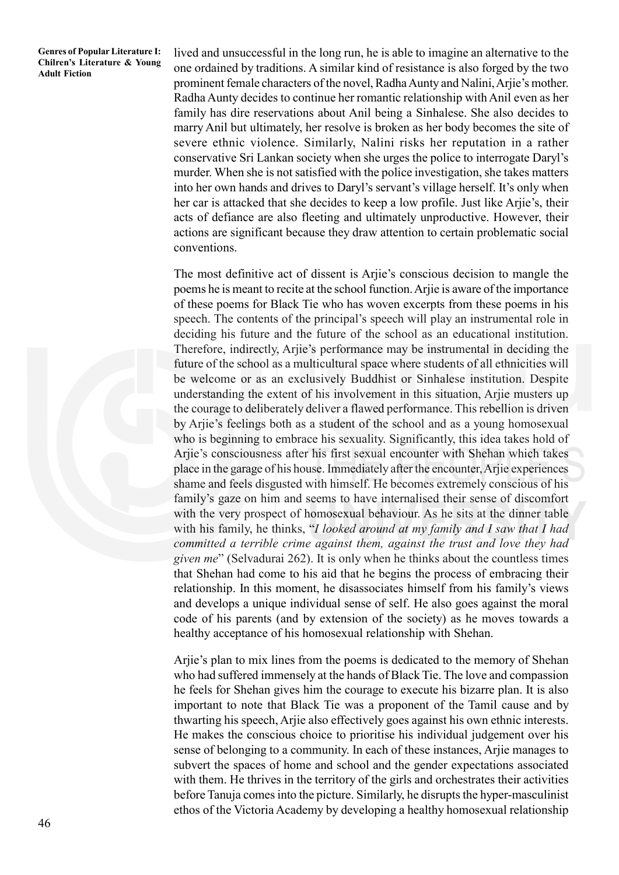lived and unsuccessful in the long run, he is able to imagine an alternative to the one ordained by traditions. A similar kind of resistance is also forged by the two prominent female characters of the novel, Radha Aunty and Nalini, Arjie's mother. Radha Aunty decides to continue her romantic relationship with Anil even as her family has dire reservations about Anil being a Sinhalese. She also decides to marry Anil but ultimately, her resolve is broken as her body becomes the site of severe ethnic violence. Similarly, Nalini risks her reputation in a rather conservative Sri Lankan society when she urges the police to interrogate Daryl's murder. When she is not satisfied with the police investigation, she takes matters into her own hands and drives to Daryl's servant's village herself. It's only when her car is attacked that she decides to keep a low profile. Just like Arjie's, their acts of defiance are also fleeting and ultimately unproductive. However, their actions are significant because they draw attention to certain problematic social conventions.

The most definitive act of dissent is Arjie's conscious decision to mangle the poems he is meant to recite at the school function. Arjie is aware of the importance of these poems for Black Tie who has woven excerpts from these poems in his speech. The contents of the principal's speech will play an instrumental role in deciding his future and the future of the school as an educational institution. Therefore, indirectly, Arjie's performance may be instrumental in deciding the future of the school as a multicultural space where students of all ethnicities will be welcome or as an exclusively Buddhist or Sinhalese institution. Despite understanding the extent of his involvement in this situation, Arjie musters up the courage to deliberately deliver a flawed performance. This rebellion is driven by Arjie's feelings both as a student of the school and as a young homosexual who is beginning to embrace his sexuality. Significantly, this idea takes hold of Arjie's consciousness after his first sexual encounter with Shehan which takes place in the garage of his house. Immediately after the encounter, Arjie experiences shame and feels disgusted with himself. He becomes extremely conscious of his family's gaze on him and seems to have internalised their sense of discomfort with the very prospect of homosexual behaviour. As he sits at the dinner table with his family, he thinks, "*I looked around at my family and I saw that I had committed a terrible crime against them, against the trust and love they had given me*" (Selvadurai 262). It is only when he thinks about the countless times that Shehan had come to his aid that he begins the process of embracing their relationship. In this moment, he disassociates himself from his family's views and develops a unique individual sense of self. He also goes against the moral code of his parents (and by extension of the society) as he moves towards a healthy acceptance of his homosexual relationship with Shehan.

Arjie's plan to mix lines from the poems is dedicated to the memory of Shehan who had suffered immensely at the hands of Black Tie. The love and compassion he feels for Shehan gives him the courage to execute his bizarre plan. It is also important to note that Black Tie was a proponent of the Tamil cause and by thwarting his speech, Arjie also effectively goes against his own ethnic interests. He makes the conscious choice to prioritise his individual judgement over his sense of belonging to a community. In each of these instances, Arjie manages to subvert the spaces of home and school and the gender expectations associated with them. He thrives in the territory of the girls and orchestrates their activities before Tanuja comes into the picture. Similarly, he disrupts the hyper-masculinist ethos of the Victoria Academy by developing a healthy homosexual relationship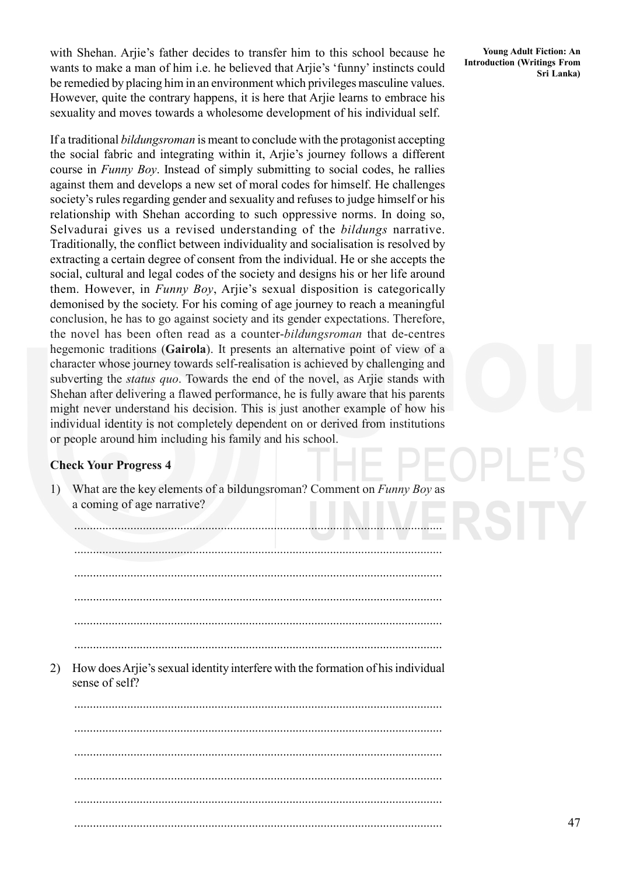with Shehan. Arjie's father decides to transfer him to this school because he wants to make a man of him i.e. he believed that Arjie's 'funny' instincts could be remedied by placing him in an environment which privileges masculine values. However, quite the contrary happens, it is here that Arjie learns to embrace his sexuality and moves towards a wholesome development of his individual self.

If a traditional *bildungsroman* is meant to conclude with the protagonist accepting the social fabric and integrating within it, Arjie's journey follows a different course in *Funny Boy*. Instead of simply submitting to social codes, he rallies against them and develops a new set of moral codes for himself. He challenges society's rules regarding gender and sexuality and refuses to judge himself or his relationship with Shehan according to such oppressive norms. In doing so, Selvadurai gives us a revised understanding of the *bildungs* narrative. Traditionally, the conflict between individuality and socialisation is resolved by extracting a certain degree of consent from the individual. He or she accepts the social, cultural and legal codes of the society and designs his or her life around them. However, in *Funny Boy*, Arjie's sexual disposition is categorically demonised by the society. For his coming of age journey to reach a meaningful conclusion, he has to go against society and its gender expectations. Therefore, the novel has been often read as a counter-*bildungsroman* that de-centres hegemonic traditions (**Gairola**). It presents an alternative point of view of a character whose journey towards self-realisation is achieved by challenging and subverting the *status quo*. Towards the end of the novel, as Arjie stands with Shehan after delivering a flawed performance, he is fully aware that his parents might never understand his decision. This is just another example of how his individual identity is not completely dependent on or derived from institutions or people around him including his family and his school.

### **Check Your Progress 4**

1) What are the key elements of a bildungsroman? Comment on *Funny Boy* as a coming of age narrative?

...................................................................................................................... ...................................................................................................................... ...................................................................................................................... ...................................................................................................................... ...................................................................................................................... 2) How does Arjie's sexual identity interfere with the formation of his individual sense of self? ...................................................................................................................... ...................................................................................................................... ...................................................................................................................... ...................................................................................................................... ...................................................................................................................... ......................................................................................................................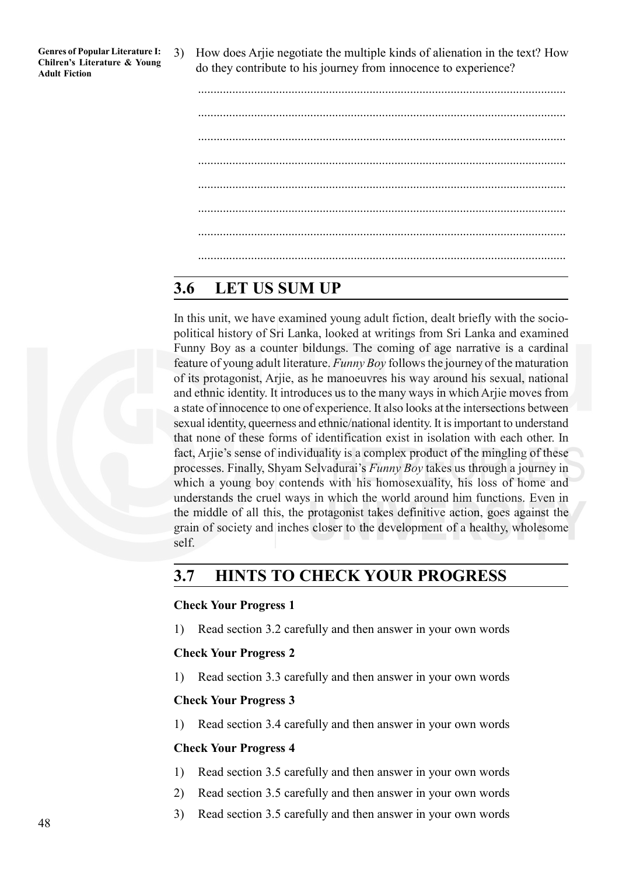3) How does Arjie negotiate the multiple kinds of alienation in the text? How do they contribute to his journey from innocence to experience?

# **3.6 LET US SUM UP**

In this unit, we have examined young adult fiction, dealt briefly with the sociopolitical history of Sri Lanka, looked at writings from Sri Lanka and examined Funny Boy as a counter bildungs. The coming of age narrative is a cardinal feature of young adult literature. *Funny Boy* follows the journey of the maturation of its protagonist, Arjie, as he manoeuvres his way around his sexual, national and ethnic identity. It introduces us to the many ways in which Arjie moves from a state of innocence to one of experience. It also looks at the intersections between sexual identity, queerness and ethnic/national identity. It is important to understand that none of these forms of identification exist in isolation with each other. In fact, Arjie's sense of individuality is a complex product of the mingling of these processes. Finally, Shyam Selvadurai's *Funny Boy* takes us through a journey in which a young boy contends with his homosexuality, his loss of home and understands the cruel ways in which the world around him functions. Even in the middle of all this, the protagonist takes definitive action, goes against the grain of society and inches closer to the development of a healthy, wholesome self.

# **3.7 HINTS TO CHECK YOUR PROGRESS**

### **Check Your Progress 1**

1) Read section 3.2 carefully and then answer in your own words

### **Check Your Progress 2**

1) Read section 3.3 carefully and then answer in your own words

### **Check Your Progress 3**

1) Read section 3.4 carefully and then answer in your own words

### **Check Your Progress 4**

- 1) Read section 3.5 carefully and then answer in your own words
- 2) Read section 3.5 carefully and then answer in your own words
- 3) Read section 3.5 carefully and then answer in your own words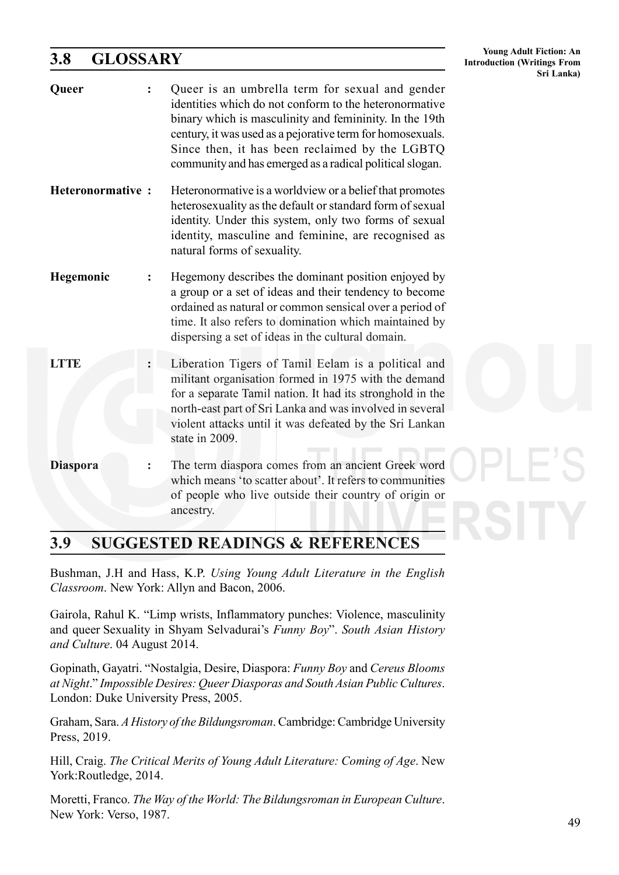# **3.8 GLOSSARY**

| 3.8<br>GLOSSARY         |                                                                                                                                                                                                                                                                                                                                                  | <b>Introduction (Writings From</b><br>Sri Lanka) |
|-------------------------|--------------------------------------------------------------------------------------------------------------------------------------------------------------------------------------------------------------------------------------------------------------------------------------------------------------------------------------------------|--------------------------------------------------|
| Queer                   | Queer is an umbrella term for sexual and gender<br>identities which do not conform to the heteronormative<br>binary which is masculinity and femininity. In the 19th<br>century, it was used as a pejorative term for homosexuals.<br>Since then, it has been reclaimed by the LGBTQ<br>community and has emerged as a radical political slogan. |                                                  |
| <b>Heteronormative:</b> | Heteronormative is a worldview or a belief that promotes<br>heterosexuality as the default or standard form of sexual<br>identity. Under this system, only two forms of sexual<br>identity, masculine and feminine, are recognised as<br>natural forms of sexuality.                                                                             |                                                  |
| Hegemonic               | Hegemony describes the dominant position enjoyed by<br>a group or a set of ideas and their tendency to become<br>ordained as natural or common sensical over a period of<br>time. It also refers to domination which maintained by<br>dispersing a set of ideas in the cultural domain.                                                          |                                                  |
| LTTE                    | Liberation Tigers of Tamil Eelam is a political and<br>militant organisation formed in 1975 with the demand<br>for a separate Tamil nation. It had its stronghold in the<br>north-east part of Sri Lanka and was involved in several<br>violent attacks until it was defeated by the Sri Lankan<br>state in 2009.                                |                                                  |
| <b>Diaspora</b>         | The term diaspora comes from an ancient Greek word<br>which means 'to scatter about'. It refers to communities<br>of people who live outside their country of origin or<br>ancestry.                                                                                                                                                             |                                                  |

# **3.9 SUGGESTED READINGS & REFERENCES**

Bushman, J.H and Hass, K.P. *Using Young Adult Literature in the English Classroom*. New York: Allyn and Bacon, 2006.

Gairola, Rahul K. "Limp wrists, Inflammatory punches: Violence, masculinity and queer Sexuality in Shyam Selvadurai's *Funny Boy*". *South Asian History and Culture*. 04 August 2014.

Gopinath, Gayatri. "Nostalgia, Desire, Diaspora: *Funny Boy* and *Cereus Blooms at Night*." *Impossible Desires: Queer Diasporas and South Asian Public Cultures*. London: Duke University Press, 2005.

Graham, Sara. *A History of the Bildungsroman*. Cambridge: Cambridge University Press, 2019.

Hill, Craig. *The Critical Merits of Young Adult Literature: Coming of Age*. New York:Routledge, 2014.

Moretti, Franco. *The Way of the World: The Bildungsroman in European Culture*. New York: Verso, 1987.

**Young Adult Fiction: An**